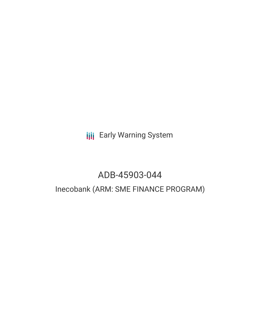**III** Early Warning System

# ADB-45903-044

# Inecobank (ARM: SME FINANCE PROGRAM)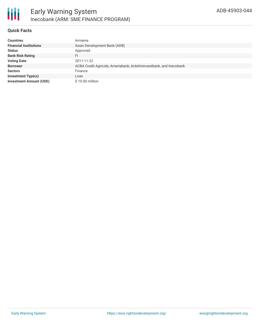

#### **Quick Facts**

| <b>Countries</b>               | Armenia                                                            |
|--------------------------------|--------------------------------------------------------------------|
| <b>Financial Institutions</b>  | Asian Development Bank (ADB)                                       |
| <b>Status</b>                  | Approved                                                           |
| <b>Bank Risk Rating</b>        | FI                                                                 |
| <b>Voting Date</b>             | 2011-11-22                                                         |
| <b>Borrower</b>                | ACBA Credit Agricole, Ameriabank, Ardshininvestbank, and Inecobank |
| <b>Sectors</b>                 | Finance                                                            |
| <b>Investment Type(s)</b>      | Loan                                                               |
| <b>Investment Amount (USD)</b> | \$10.00 million                                                    |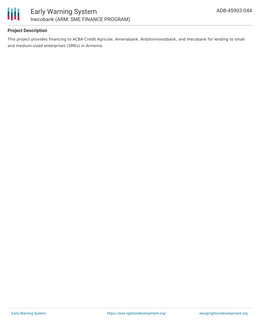

## **Project Description**

This project provides financing to ACBA Credit Agricole, Ameriabank, Ardshininvestbank, and Inecobank for lending to small and medium-sized enterprises (SMEs) in Armenia.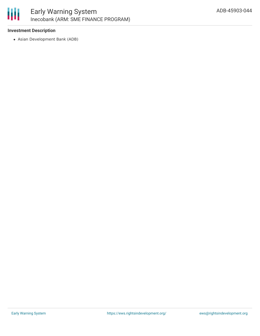

### **Investment Description**

Asian Development Bank (ADB)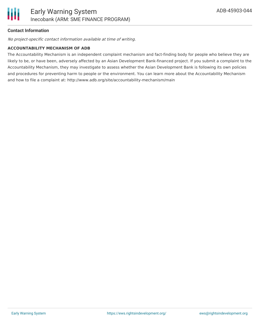

### **Contact Information**

No project-specific contact information available at time of writing.

#### **ACCOUNTABILITY MECHANISM OF ADB**

The Accountability Mechanism is an independent complaint mechanism and fact-finding body for people who believe they are likely to be, or have been, adversely affected by an Asian Development Bank-financed project. If you submit a complaint to the Accountability Mechanism, they may investigate to assess whether the Asian Development Bank is following its own policies and procedures for preventing harm to people or the environment. You can learn more about the Accountability Mechanism and how to file a complaint at: http://www.adb.org/site/accountability-mechanism/main